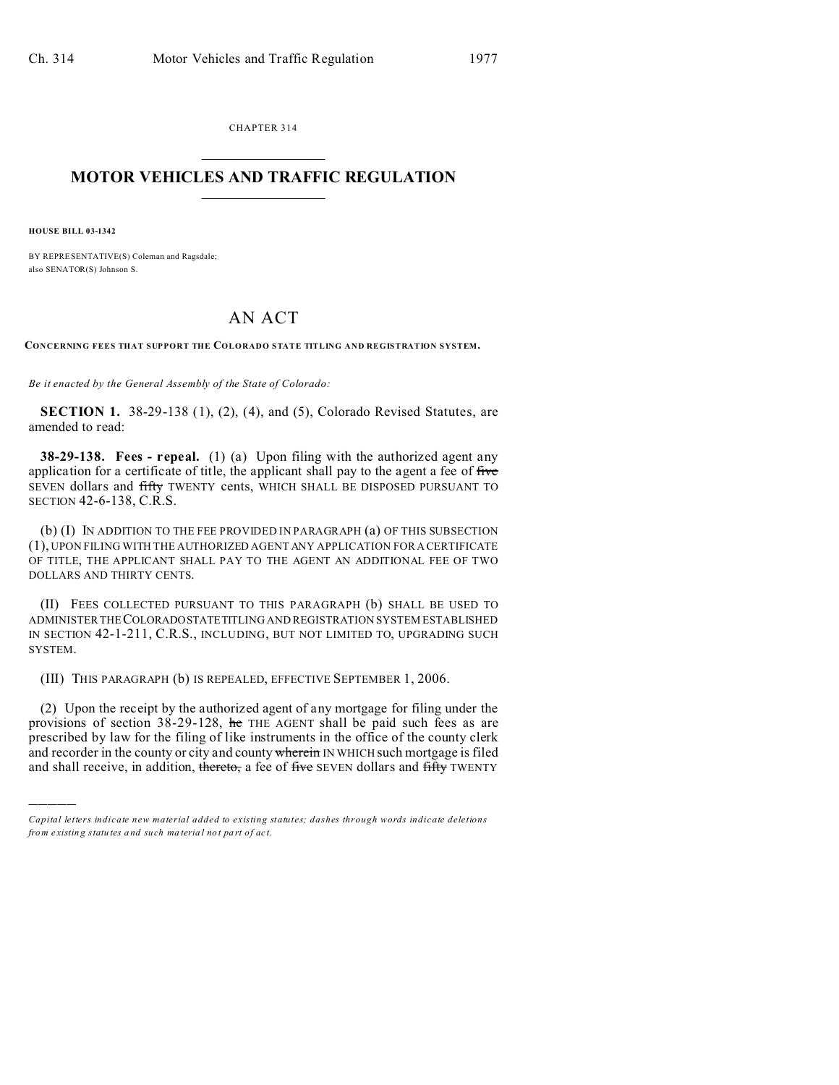CHAPTER 314  $\overline{\phantom{a}}$  , where  $\overline{\phantom{a}}$ 

## **MOTOR VEHICLES AND TRAFFIC REGULATION**  $\frac{1}{2}$  ,  $\frac{1}{2}$  ,  $\frac{1}{2}$  ,  $\frac{1}{2}$  ,  $\frac{1}{2}$  ,  $\frac{1}{2}$  ,  $\frac{1}{2}$

**HOUSE BILL 03-1342**

)))))

BY REPRESENTATIVE(S) Coleman and Ragsdale; also SENATOR(S) Johnson S.

## AN ACT

**CONCERNING FEES THAT SUPPORT THE COLORADO STATE TITLING AND REGISTRATION SYSTEM.**

*Be it enacted by the General Assembly of the State of Colorado:*

**SECTION 1.** 38-29-138 (1), (2), (4), and (5), Colorado Revised Statutes, are amended to read:

**38-29-138. Fees - repeal.** (1) (a) Upon filing with the authorized agent any application for a certificate of title, the applicant shall pay to the agent a fee of five SEVEN dollars and fifty TWENTY cents, WHICH SHALL BE DISPOSED PURSUANT TO SECTION 42-6-138, C.R.S.

(b) (I) IN ADDITION TO THE FEE PROVIDED IN PARAGRAPH (a) OF THIS SUBSECTION (1), UPON FILING WITH THE AUTHORIZED AGENT ANY APPLICATION FOR A CERTIFICATE OF TITLE, THE APPLICANT SHALL PAY TO THE AGENT AN ADDITIONAL FEE OF TWO DOLLARS AND THIRTY CENTS.

(II) FEES COLLECTED PURSUANT TO THIS PARAGRAPH (b) SHALL BE USED TO ADMINISTER THECOLORADOSTATETITLING AND REGISTRATION SYSTEM ESTABLISHED IN SECTION 42-1-211, C.R.S., INCLUDING, BUT NOT LIMITED TO, UPGRADING SUCH SYSTEM.

(III) THIS PARAGRAPH (b) IS REPEALED, EFFECTIVE SEPTEMBER 1, 2006.

(2) Upon the receipt by the authorized agent of any mortgage for filing under the provisions of section 38-29-128, he THE AGENT shall be paid such fees as are prescribed by law for the filing of like instruments in the office of the county clerk and recorder in the county or city and county wherein IN WHICH such mortgage is filed and shall receive, in addition, thereto, a fee of five SEVEN dollars and fifty TWENTY

*Capital letters indicate new material added to existing statutes; dashes through words indicate deletions from e xistin g statu tes a nd such ma teria l no t pa rt of ac t.*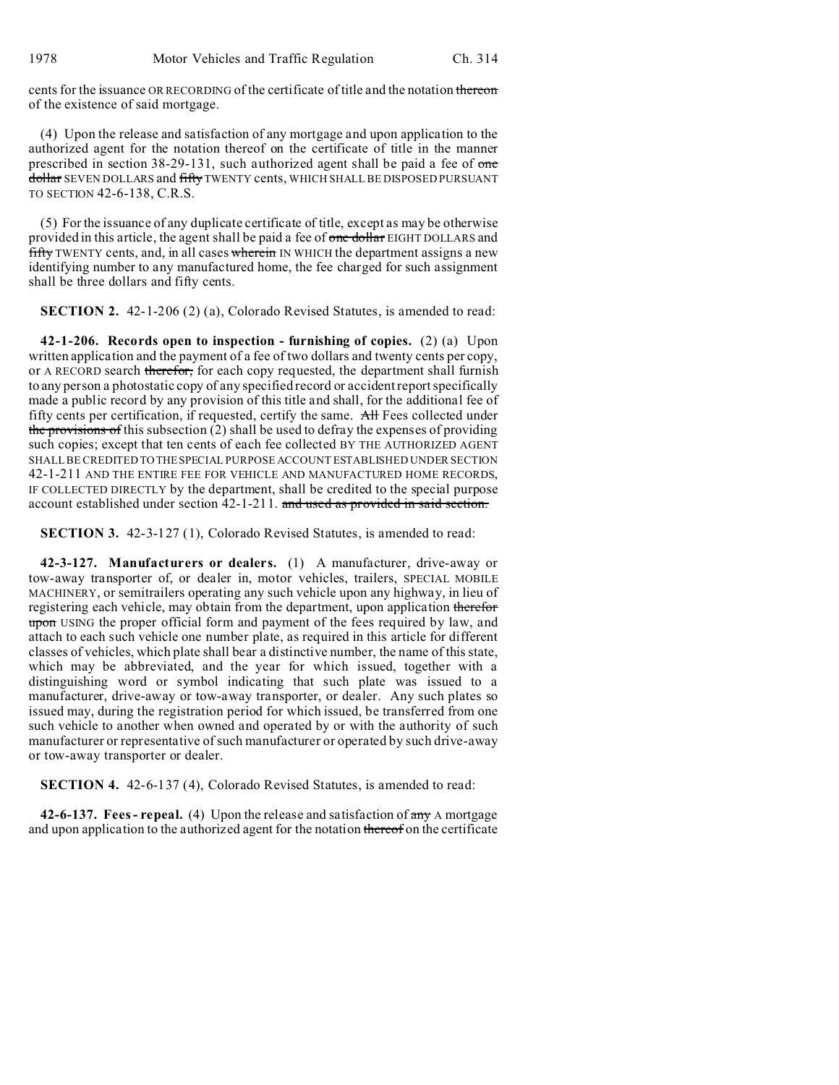cents for the issuance OR RECORDING of the certificate of title and the notation thereon of the existence of said mortgage.

(4) Upon the release and satisfaction of any mortgage and upon application to the authorized agent for the notation thereof on the certificate of title in the manner prescribed in section 38-29-131, such authorized agent shall be paid a fee of one dollar SEVEN DOLLARS and fifty TWENTY cents, WHICH SHALL BE DISPOSED PURSUANT TO SECTION 42-6-138, C.R.S.

(5) For the issuance of any duplicate certificate of title, except as may be otherwise provided in this article, the agent shall be paid a fee of one dollar EIGHT DOLLARS and **fifty** TWENTY cents, and, in all cases wherein IN WHICH the department assigns a new identifying number to any manufactured home, the fee charged for such assignment shall be three dollars and fifty cents.

**SECTION 2.** 42-1-206 (2) (a), Colorado Revised Statutes, is amended to read:

**42-1-206. Records open to inspection - furnishing of copies.** (2) (a) Upon written application and the payment of a fee of two dollars and twenty cents per copy, or A RECORD search therefor, for each copy requested, the department shall furnish to any person a photostatic copy of any specified record or accident report specifically made a public record by any provision of this title and shall, for the additional fee of fifty cents per certification, if requested, certify the same. All Fees collected under the provisions of this subsection (2) shall be used to defray the expenses of providing such copies; except that ten cents of each fee collected BY THE AUTHORIZED AGENT SHALL BE CREDITED TO THESPECIAL PURPOSE ACCOUNT ESTABLISHED UNDER SECTION 42-1-211 AND THE ENTIRE FEE FOR VEHICLE AND MANUFACTURED HOME RECORDS, IF COLLECTED DIRECTLY by the department, shall be credited to the special purpose account established under section 42-1-211. and used as provided in said section.

**SECTION 3.** 42-3-127 (1), Colorado Revised Statutes, is amended to read:

**42-3-127. Manufacturers or dealers.** (1) A manufacturer, drive-away or tow-away transporter of, or dealer in, motor vehicles, trailers, SPECIAL MOBILE MACHINERY, or semitrailers operating any such vehicle upon any highway, in lieu of registering each vehicle, may obtain from the department, upon application therefor upon USING the proper official form and payment of the fees required by law, and attach to each such vehicle one number plate, as required in this article for different classes of vehicles, which plate shall bear a distinctive number, the name of this state, which may be abbreviated, and the year for which issued, together with a distinguishing word or symbol indicating that such plate was issued to a manufacturer, drive-away or tow-away transporter, or dealer. Any such plates so issued may, during the registration period for which issued, be transferred from one such vehicle to another when owned and operated by or with the authority of such manufacturer or representative of such manufacturer or operated by such drive-away or tow-away transporter or dealer.

**SECTION 4.** 42-6-137 (4), Colorado Revised Statutes, is amended to read:

**42-6-137. Fees-repeal.** (4) Upon the release and satisfaction of  $\frac{1}{2}$  A mortgage and upon application to the authorized agent for the notation thereof on the certificate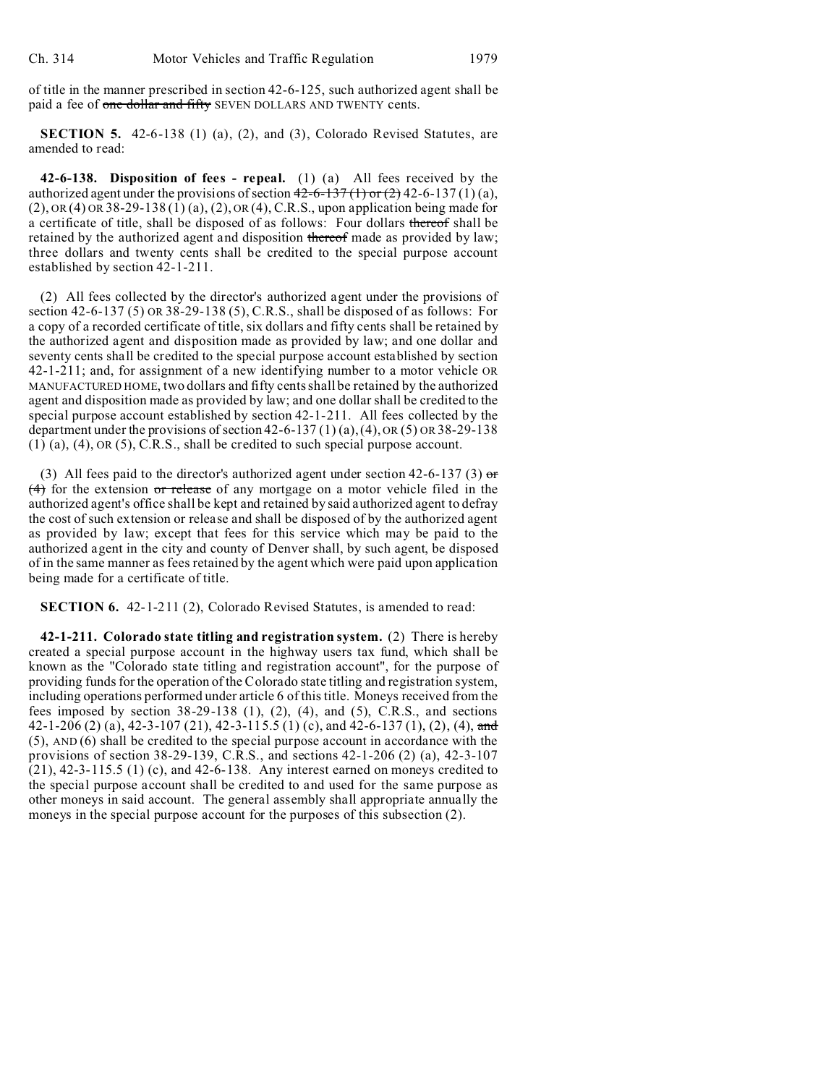of title in the manner prescribed in section 42-6-125, such authorized agent shall be paid a fee of one dollar and fifty SEVEN DOLLARS AND TWENTY cents.

**SECTION 5.** 42-6-138 (1) (a), (2), and (3), Colorado Revised Statutes, are amended to read:

**42-6-138. Disposition of fees - repeal.** (1) (a) All fees received by the authorized agent under the provisions of section  $42-6-137(1)$  or  $(2)$  42-6-137(1)(a), (2), OR (4) OR 38-29-138 (1) (a), (2), OR (4), C.R.S., upon application being made for a certificate of title, shall be disposed of as follows: Four dollars thereof shall be retained by the authorized agent and disposition thereof made as provided by law; three dollars and twenty cents shall be credited to the special purpose account established by section 42-1-211.

(2) All fees collected by the director's authorized agent under the provisions of section 42-6-137 (5) OR 38-29-138 (5), C.R.S., shall be disposed of as follows: For a copy of a recorded certificate of title, six dollars and fifty cents shall be retained by the authorized agent and disposition made as provided by law; and one dollar and seventy cents shall be credited to the special purpose account established by section 42-1-211; and, for assignment of a new identifying number to a motor vehicle OR MANUFACTURED HOME, two dollars and fifty cents shall be retained by the authorized agent and disposition made as provided by law; and one dollar shall be credited to the special purpose account established by section 42-1-211. All fees collected by the department under the provisions of section  $42-6-137(1)(a)$ ,  $(4)$ , OR  $(5)$  OR  $38-29-138$ (1) (a), (4), OR (5), C.R.S., shall be credited to such special purpose account.

(3) All fees paid to the director's authorized agent under section 42-6-137 (3)  $\sigma$  $(4)$  for the extension or release of any mortgage on a motor vehicle filed in the authorized agent's office shall be kept and retained by said authorized agent to defray the cost of such extension or release and shall be disposed of by the authorized agent as provided by law; except that fees for this service which may be paid to the authorized agent in the city and county of Denver shall, by such agent, be disposed of in the same manner as fees retained by the agent which were paid upon application being made for a certificate of title.

**SECTION 6.** 42-1-211 (2), Colorado Revised Statutes, is amended to read:

**42-1-211. Colorado state titling and registration system.** (2) There is hereby created a special purpose account in the highway users tax fund, which shall be known as the "Colorado state titling and registration account", for the purpose of providing funds for the operation of the Colorado state titling and registration system, including operations performed under article 6 of this title. Moneys received from the fees imposed by section  $38-29-138$  (1), (2), (4), and (5), C.R.S., and sections 42-1-206 (2) (a), 42-3-107 (21), 42-3-115.5 (1) (c), and 42-6-137 (1), (2), (4), and (5), AND (6) shall be credited to the special purpose account in accordance with the provisions of section 38-29-139, C.R.S., and sections 42-1-206 (2) (a), 42-3-107  $(21)$ ,  $42-3-115.5$   $(1)$   $(c)$ , and  $42-6-138$ . Any interest earned on moneys credited to the special purpose account shall be credited to and used for the same purpose as other moneys in said account. The general assembly shall appropriate annually the moneys in the special purpose account for the purposes of this subsection (2).